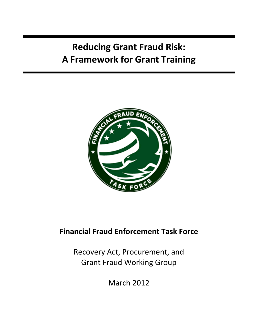# **Reducing Grant Fraud Risk: A Framework for Grant Training**



## **Financial Fraud Enforcement Task Force**

Recovery Act, Procurement, and Grant Fraud Working Group

March 2012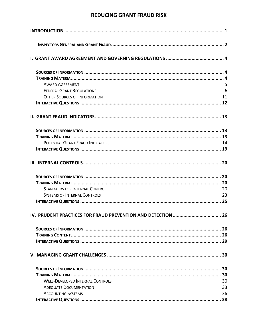| <b>AWARD AGREEMENT</b>                                   | 5  |
|----------------------------------------------------------|----|
| <b>FEDERAL GRANT REGULATIONS</b>                         | 6  |
| <b>OTHER SOURCES OF INFORMATION</b>                      | 11 |
|                                                          |    |
|                                                          |    |
|                                                          |    |
|                                                          |    |
| POTENTIAL GRANT FRAUD INDICATORS                         | 14 |
|                                                          |    |
|                                                          |    |
|                                                          |    |
|                                                          |    |
| <b>STANDARDS FOR INTERNAL CONTROL</b>                    | 20 |
| <b>SYSTEMS OF INTERNAL CONTROLS</b>                      | 23 |
|                                                          |    |
| IV. PRUDENT PRACTICES FOR FRAUD PREVENTION AND DETECTION | 26 |
|                                                          |    |
|                                                          |    |
|                                                          |    |
|                                                          |    |
|                                                          |    |
|                                                          |    |
| <b>WELL-DEVELOPED INTERNAL CONTROLS</b>                  | 30 |
| <b>ADEQUATE DOCUMENTATION</b>                            | 33 |
| <b>ACCOUNTING SYSTEMS</b>                                | 36 |
|                                                          |    |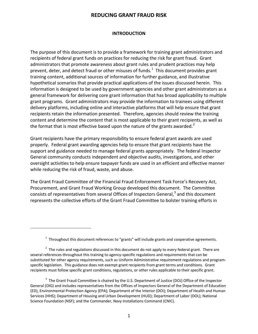#### **INTRODUCTION**

<span id="page-2-0"></span>The purpose of this document is to provide a framework for training grant administrators and recipients of federal grant funds on practices for reducing the risk for grant fraud. Grant administrators that promote awareness about grant rules and prudent practices may help prevent, deter, and detect fraud or other misuses of funds.<sup>[1](#page-2-1)</sup> This document provides grant training content, additional sources of information for further guidance, and illustrative hypothetical scenarios that provide practical applications of the issues discussed herein. This information is designed to be used by government agencies and other grant administrators as a general framework for delivering core grant information that has broad applicability to multiple grant programs. Grant administrators may provide the information to trainees using different delivery platforms, including online and interactive platforms that will help ensure that grant recipients retain the information presented. Therefore, agencies should review the training content and determine the content that is most applicable to their grant recipients, as well as the format that is most effective based upon the nature of the grants awarded.<sup>[2](#page-2-2)</sup>

Grant recipients have the primary responsibility to ensure federal grant awards are used properly. Federal grant awarding agencies help to ensure that grant recipients have the support and guidance needed to manage federal grants appropriately. The federal Inspector General community conducts independent and objective audits, investigations, and other oversight activities to help ensure taxpayer funds are used in an efficient and effective manner while reducing the risk of fraud, waste, and abuse.

The Grant Fraud Committee of the Financial Fraud Enforcement Task Force's Recovery Act, Procurement, and Grant Fraud Working Group developed this document. The Committee consists of representatives from several Offices of Inspectors General,  $3$  and this document represents the collective efforts of the Grant Fraud Committee to bolster training efforts in

l

 $1$  Throughout this document references to "grants" will include grants and cooperative agreements.

<span id="page-2-2"></span><span id="page-2-1"></span> $2$  The rules and regulations discussed in this document do not apply to every federal grant. There are several references throughout this training to agency-specific regulations and requirements that can be substituted for other agency requirements, such as Uniform Administrative requirement regulations and programspecific legislation. This guidance does not exempt grant recipients from grant terms and conditions. Grant recipients must follow specific grant conditions, regulations, or other rules applicable to their specific grant.

<span id="page-2-3"></span> $3$  The Grant Fraud Committee is chaired by the U.S. Department of Justice (DOJ) Office of the Inspector General (OIG) and includes representatives from the Offices of Inspectors General of the Department of Education (ED), Environmental Protection Agency (EPA); Department of the Interior (DOI); Department of Health and Human Services (HHS); Department of Housing and Urban Development (HUD); Department of Labor (DOL); National Science Foundation (NSF); and the Commander, Navy Installations Command (CNIC).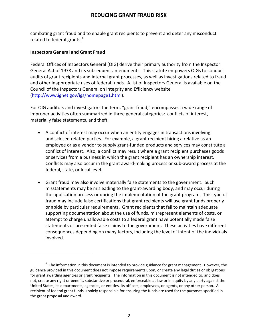combating grant fraud and to enable grant recipients to prevent and deter any misconduct related to federal grants.<sup>[4](#page-3-1)</sup>

#### <span id="page-3-0"></span>**Inspectors General and Grant Fraud**

j

Federal Offices of Inspectors General (OIG) derive their primary authority from the Inspector General Act of 1978 and its subsequent amendments. This statute empowers OIGs to conduct audits of grant recipients and internal grant processes, as well as investigations related to fraud and other inappropriate uses of federal funds. A list of Inspectors General is available on the Council of the Inspectors General on Integrity and Efficiency website [\(http://www.ignet.gov/igs/homepage1.html\)](http://www.ignet.gov/igs/homepage1.html).

For OIG auditors and investigators the term, "grant fraud," encompasses a wide range of improper activities often summarized in three general categories: conflicts of interest, materially false statements, and theft.

- A conflict of interest may occur when an entity engages in transactions involving undisclosed related parties. For example, a grant recipient hiring a relative as an employee or as a vendor to supply grant-funded products and services may constitute a conflict of interest. Also, a conflict may result where a grant recipient purchases goods or services from a business in which the grant recipient has an ownership interest. Conflicts may also occur in the grant award-making process or sub-award process at the federal, state, or local level.
- Grant fraud may also involve materially false statements to the government. Such misstatements may be misleading to the grant-awarding body, and may occur during the application process or during the implementation of the grant program. This type of fraud may include false certifications that grant recipients will use grant funds properly or abide by particular requirements. Grant recipients that fail to maintain adequate supporting documentation about the use of funds, misrepresent elements of costs, or attempt to charge unallowable costs to a federal grant have potentially made false statements or presented false claims to the government. These activities have different consequences depending on many factors, including the level of intent of the individuals involved.

<span id="page-3-1"></span> $4$  The information in this document is intended to provide guidance for grant management. However, the guidance provided in this document does not impose requirements upon, or create any legal duties or obligations for grant awarding agencies or grant recipients. The information in this document is not intended to, and does not, create any right or benefit, substantive or procedural, enforceable at law or in equity by any party against the United States, its departments, agencies, or entities, its officers, employees, or agents, or any other person. A recipient of federal grant funds is solely responsible for ensuring the funds are used for the purposes specified in the grant proposal and award.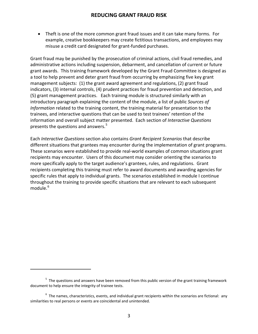• Theft is one of the more common grant fraud issues and it can take many forms. For example, creative bookkeepers may create fictitious transactions, and employees may misuse a credit card designated for grant-funded purchases.

Grant fraud may be punished by the prosecution of criminal actions, civil fraud remedies, and administrative actions including suspension, debarment, and cancellation of current or future grant awards. This training framework developed by the Grant Fraud Committee is designed as a tool to help prevent and deter grant fraud from occurring by emphasizing five key grant management subjects: (1) the grant award agreement and regulations, (2) grant fraud indicators, (3) internal controls, (4) prudent practices for fraud prevention and detection, and (5) grant management practices. Each training module is structured similarly with an introductory paragraph explaining the content of the module, a list of public *Sources of Information* related to the training content, the training material for presentation to the trainees, and interactive questions that can be used to test trainees' retention of the information and overall subject matter presented. Each section of *Interactive Questions* presents the questions and answers.<sup>[5](#page-4-0)</sup>

Each *Interactive Questions* section also contains *Grant Recipient Scenarios* that describe different situations that grantees may encounter during the implementation of grant programs. These scenarios were established to provide real-world examples of common situations grant recipients may encounter. Users of this document may consider orienting the scenarios to more specifically apply to the target audience's grantees, rules, and regulations. Grant recipients completing this training must refer to award documents and awarding agencies for specific rules that apply to individual grants. The scenarios established in module I continue throughout the training to provide specific situations that are relevant to each subsequent module. [6](#page-4-1)

l

<span id="page-4-0"></span><sup>&</sup>lt;sup>5</sup> The questions and answers have been removed from this public version of the grant training framework document to help ensure the integrity of trainee tests.

<span id="page-4-1"></span> $<sup>6</sup>$  The names, characteristics, events, and individual grant recipients within the scenarios are fictional: any</sup> similarities to real persons or events are coincidental and unintended.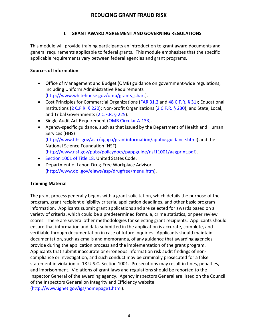#### **I. GRANT AWARD AGREEMENT AND GOVERNING REGULATIONS**

<span id="page-5-0"></span>This module will provide training participants an introduction to grant award documents and general requirements applicable to federal grants. This module emphasizes that the specific applicable requirements vary between federal agencies and grant programs.

#### <span id="page-5-1"></span>**Sources of Information**

- Office of Management and Budget (OMB) guidance on government-wide regulations, including Uniform Administrative Requirements [\(http://www.whitehouse.gov/omb/grants\\_chart\)](http://www.whitehouse.gov/omb/grants_chart).
- Cost Principles for Commercial Organizations [\(FAR 31.2 a](https://www.acquisition.gov/far/html/Subpart%2031_2.html#wp1095552)nd [48 C.F.R. § 31\)](http://ecfr.gpoaccess.gov/cgi/t/text/text-idx?c=ecfr&tpl=/ecfrbrowse/Title48/48cfr31_main_02.tpl); Educational Institutions [\(2 C.F.R. § 220\)](http://ecfr.gpoaccess.gov/cgi/t/text/text-idx?c=ecfr&tpl=/ecfrbrowse/Title02/2cfr220_main_02.tpl); Non-profit Organizations [\(2 C.F.R. § 230\)](http://ecfr.gpoaccess.gov/cgi/t/text/text-idx?c=ecfr&sid=51b94f744774e84752c7f81ca6935cf5&tpl=/ecfrbrowse/Title02/2cfr230_main_02.tpl); and State, Local, and Tribal Governments [\(2 C.F.R. § 225\)](http://ecfr.gpoaccess.gov/cgi/t/text/text-idx?c=ecfr&sid=1b54545577b052b5bde5ef4e45d9b7fe&tpl=/ecfrbrowse/Title02/2cfr225_main_02.tpl).
- Single Audit Act Requirement [\(OMB Circular A-133\)](http://www.whitehouse.gov/sites/default/files/omb/assets/a133/a133_revised_2007.pdf).
- Agency-specific guidance, such as that issued by the Department of Health and Human Services (HHS) [\(http://www.hhs.gov/asfr/ogapa/grantinformation/appbusguidance.html\)](http://www.hhs.gov/asfr/ogapa/grantinformation/appbusguidance.html) and the National Science Foundation (NSF). [\(http://www.nsf.gov/pubs/policydocs/pappguide/nsf11001/aagprint.pdf\)](http://www.nsf.gov/pubs/policydocs/pappguide/nsf11001/aagprint.pdf).
- [Section 1001 of Title 18, U](http://frwebgate.access.gpo.gov/cgi-bin/usc.cgi?ACTION=RETRIEVE&FILE=$$xa$$busc18.wais&start=1925859&SIZE=10370&TYPE=TEXT)nited States Code.
- Department of Labor. Drug-Free Workplace Advisor [\(http://www.dol.gov/elaws/asp/drugfree/menu.htm\)](http://www.dol.gov/elaws/asp/drugfree/menu.htm).

## <span id="page-5-2"></span>**Training Material**

The grant process generally begins with a grant solicitation, which details the purpose of the program, grant recipient eligibility criteria, application deadlines, and other basic program information. Applicants submit grant applications and are selected for awards based on a variety of criteria, which could be a predetermined formula, crime statistics, or peer review scores. There are several other methodologies for selecting grant recipients. Applicants should ensure that information and data submitted in the application is accurate, complete, and verifiable through documentation in case of future inquiries. Applicants should maintain documentation, such as emails and memoranda, of any guidance that awarding agencies provide during the application process and the implementation of the grant program. Applicants that submit inaccurate or erroneous information risk audit findings of noncompliance or investigation, and such conduct may be criminally prosecuted for a false statement in violation of 18 U.S.C. Section 1001. Prosecutions may result in fines, penalties, and imprisonment. Violations of grant laws and regulations should be reported to the Inspector General of the awarding agency. Agency Inspectors General are listed on the Council of the Inspectors General on Integrity and Efficiency website [\(http://www.ignet.gov/igs/homepage1.html\)](http://www.ignet.gov/igs/homepage1.html).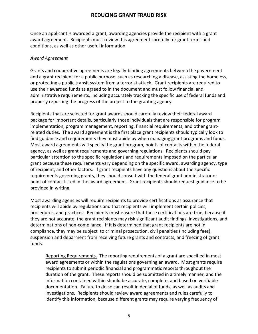Once an applicant is awarded a grant, awarding agencies provide the recipient with a grant award agreement. Recipients must review this agreement carefully for grant terms and conditions, as well as other useful information.

#### <span id="page-6-0"></span>*Award Agreement*

Grants and cooperative agreements are legally-binding agreements between the government and a grant recipient for a public purpose, such as researching a disease, assisting the homeless, or protecting a public transit system from a terrorist attack. Grant recipients are required to use their awarded funds as agreed to in the document and must follow financial and administrative requirements, including accurately tracking the specific use of federal funds and properly reporting the progress of the project to the granting agency.

Recipients that are selected for grant awards should carefully review their federal award package for important details, particularly those individuals that are responsible for program implementation, program management, reporting, financial requirements, and other grantrelated duties. The award agreement is the first place grant recipients should typically look to find guidance and requirements they must abide by when managing grant programs and funds. Most award agreements will specify the grant program, points of contacts within the federal agency, as well as grant requirements and governing regulations. Recipients should pay particular attention to the specific regulations and requirements imposed on the particular grant because these requirements vary depending on the specific award, awarding agency, type of recipient, and other factors. If grant recipients have any questions about the specific requirements governing grants, they should consult with the federal grant administrator or point of contact listed in the award agreement. Grant recipients should request guidance to be provided in writing.

Most awarding agencies will require recipients to provide certifications as assurance that recipients will abide by regulations and that recipients will implement certain policies, procedures, and practices. Recipients must ensure that these certifications are true, because if they are not accurate, the grant recipients may risk significant audit findings, investigations, and determinations of non-compliance. If it is determined that grant recipients are not in compliance, they may be subject to criminal prosecution, civil penalties (including fees), suspension and debarment from receiving future grants and contracts, and freezing of grant funds.

Reporting Requirements*.* The reporting requirements of a grant are specified in most award agreements or within the regulations governing an award. Most grants require recipients to submit periodic financial and programmatic reports throughout the duration of the grant. These reports should be submitted in a timely manner, and the information contained within should be accurate, complete, and based on verifiable documentation. Failure to do so can result in denial of funds, as well as audits and investigations. Recipients should review award agreements and rules carefully to identify this information, because different grants may require varying frequency of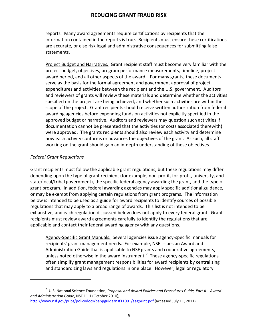reports. Many award agreements require certifications by recipients that the information contained in the reports is true. Recipients must ensure these certifications are accurate, or else risk legal and administrative consequences for submitting false statements.

Project Budget and Narratives*.* Grant recipient staff must become very familiar with the project budget, objectives, program performance measurements, timeline, project award period, and all other aspects of the award. For many grants, these documents serve as the basis for the formal agreement and government approval of project expenditures and activities between the recipient and the U.S. government. Auditors and reviewers of grants will review these materials and determine whether the activities specified on the project are being achieved, and whether such activities are within the scope of the project. Grant recipients should receive written authorization from federal awarding agencies before expending funds on activities not explicitly specified in the approved budget or narrative. Auditors and reviewers may question such activities if documentation cannot be presented that the activities (or costs associated therewith) were approved. The grants recipients should also review each activity and determine how each activity conforms or advances the objectives of the grant. As such, all staff working on the grant should gain an in-depth understanding of these objectives.

#### <span id="page-7-0"></span>*Federal Grant Regulations*

l

Grant recipients must follow the applicable grant regulations, but these regulations may differ depending upon the type of grant recipient (for example, non-profit, for-profit, university, and state/local/tribal government), the specific federal agency awarding the grant, and the type of grant program. In addition, federal awarding agencies may apply specific additional guidance, or may be exempt from applying certain regulations from grant programs. The information below is intended to be used as a guide for award recipients to identify sources of possible regulations that may apply to a broad range of awards. This list is not intended to be exhaustive, and each regulation discussed below does not apply to every federal grant. Grant recipients must review award agreements carefully to identify the regulations that are applicable and contact their federal awarding agency with any questions.

Agency-Specific Grant Manuals. Several agencies issue agency-specific manuals for recipients' grant management needs. For example, NSF issues an Award and Administration Guide that is applicable to NSF grants and cooperative agreements, unless noted otherwise in the award instrument.<sup>[7](#page-7-1)</sup> These agency-specific regulations often simplify grant management responsibilities for award recipients by centralizing and standardizing laws and regulations in one place. However, legal or regulatory

<span id="page-7-1"></span><sup>7</sup> U.S. National Science Foundation, *Proposal and Award Policies and Procedures Guide, Part II – Award and Administration Guide*, NSF 11-1 (October 2010),

<http://www.nsf.gov/pubs/policydocs/pappguide/nsf11001/aagprint.pdf> (accessed July 11, 2011).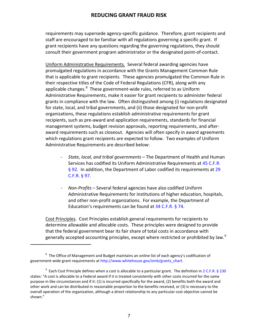requirements may supersede agency-specific guidance. Therefore, grant recipients and staff are encouraged to be familiar with all regulations governing a specific grant. If grant recipients have any questions regarding the governing regulations, they should consult their government program administrator or the designated point-of-contact.

Uniform Administrative Requirements. Several federal awarding agencies have promulgated regulations in accordance with the Grants Management Common Rule that is applicable to grant recipients. These agencies promulgated the Common Rule in their respective titles of the Code of Federal Regulations (CFR), along with any applicable changes.<sup>[8](#page-8-0)</sup> These government-wide rules, referred to as Uniform Administrative Requirements, make it easier for grant recipients to administer federal grants in compliance with the law. Often distinguished among (i) regulations designated for state, local, and tribal governments, and (ii) those designated for non-profit organizations, these regulations establish administrative requirements for grant recipients, such as pre-award and application requirements, standards for financial management systems, budget revision approvals, reporting requirements, and afteraward requirements such as closeout. Agencies will often specify in award agreements which regulations grant recipients are expected to follow. Two examples of Uniform Administrative Requirements are described below:

- *State, local, and tribal governments* The Department of Health and Human Services has codified its Uniform Administrative Requirements at [45 C.F.R.](http://ecfr.gpoaccess.gov/cgi/t/text/text-idx?c=ecfr&sid=04f5ca2447f78bb292448773a1104382&rgn=div5&view=text&node=45:1.0.1.1.50&idno=45)  [§ 92.](http://ecfr.gpoaccess.gov/cgi/t/text/text-idx?c=ecfr&sid=04f5ca2447f78bb292448773a1104382&rgn=div5&view=text&node=45:1.0.1.1.50&idno=45) In addition, the Department of Labor codified its requirements at [29](http://ecfr.gpoaccess.gov/cgi/t/text/text-idx?c=ecfr&sid=8119997cc396b19a358abac0b100f635&tpl=/ecfrbrowse/Title29/29cfr97_main_02.tpl)  [C.F.R. § 97.](http://ecfr.gpoaccess.gov/cgi/t/text/text-idx?c=ecfr&sid=8119997cc396b19a358abac0b100f635&tpl=/ecfrbrowse/Title29/29cfr97_main_02.tpl)
- *Non-Profits* Several federal agencies have also codified Uniform Administrative Requirements for institutions of higher education, hospitals, and other non-profit organizations. For example, the Department of Education's requirements can be found at [34 C.F.R. § 74.](http://ecfr.gpoaccess.gov/cgi/t/text/text-idx?c=ecfr&sid=700bdd1c9da56952438d55a89ca6fb06&rgn=div5&view=text&node=34:1.1.1.1.21&idno=34)

Cost Principles. Cost Principles establish general requirements for recipients to determine allowable and allocable costs. These principles were designed to provide that the federal government bear its fair share of total costs in accordance with generally accepted accounting principles, except where restricted or prohibited by law.<sup>[9](#page-8-1)</sup>

j

<span id="page-8-0"></span> $8$  The Office of Management and Budget maintains an online list of each agency's codification of government-wide grant requirements a[t http://www.whitehouse.gov/omb/grants\\_chart.](http://www.whitehouse.gov/omb/grants_chart)

<span id="page-8-1"></span> $9$  Each Cost Principle defines when a cost is allocable to a particular grant. The definition in [2 C.F.R. § 230](http://ecfr.gpoaccess.gov/cgi/t/text/text-idx?c=ecfr&sid=51b94f744774e84752c7f81ca6935cf5&tpl=/ecfrbrowse/Title02/2cfr230_main_02.tpl) states: "A cost is allocable to a Federal award if it is treated consistently with other costs incurred for the same purpose in like circumstances and if it: (1) is incurred specifically for the award, (2) benefits both the award and other work and can be distributed in reasonable proportion to the benefits received, or (3) is necessary to the overall operation of the organization, although a direct relationship to any particular cost objective cannot be shown."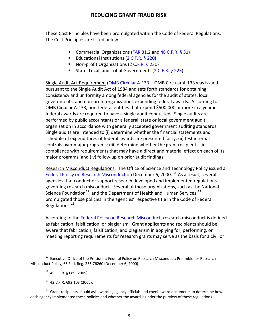These Cost Principles have been promulgated within the Code of Federal Regulations. The Cost Principles are listed below.

- Commercial Organizations [\(FAR 31.2](https://www.acquisition.gov/far/html/Subpart%2031_2.html#wp1095552) and [48 C.F.R. § 31\)](http://ecfr.gpoaccess.gov/cgi/t/text/text-idx?c=ecfr&tpl=/ecfrbrowse/Title48/48cfr31_main_02.tpl)
- Educational Institutions [\(2 C.F.R. § 220\)](http://ecfr.gpoaccess.gov/cgi/t/text/text-idx?c=ecfr&tpl=/ecfrbrowse/Title02/2cfr220_main_02.tpl)
- Non-profit Organizations [\(2 C.F.R. § 230\)](http://ecfr.gpoaccess.gov/cgi/t/text/text-idx?c=ecfr&sid=51b94f744774e84752c7f81ca6935cf5&tpl=/ecfrbrowse/Title02/2cfr230_main_02.tpl)
- State, Local, and Tribal Governments [\(2 C.F.R. § 225\)](http://ecfr.gpoaccess.gov/cgi/t/text/text-idx?c=ecfr&sid=1b54545577b052b5bde5ef4e45d9b7fe&tpl=/ecfrbrowse/Title02/2cfr225_main_02.tpl)

Single Audit Act Requirement [\(OMB Circular A-133\)](http://www.whitehouse.gov/sites/default/files/omb/assets/a133/a133_revised_2007.pdf). OMB Circular A-133 was issued pursuant to the Single Audit Act of 1984 and sets forth standards for obtaining consistency and uniformity among federal agencies for the audit of states, local governments, and non-profit organizations expending federal awards. According to OMB Circular A-133, non-federal entities that expend \$500,000 or more in a year in federal awards are required to have a single audit conducted. Single audits are performed by public accountants or a federal, state or local government audit organization in accordance with generally accepted government auditing standards. Single audits are intended to (i) determine whether the financial statements and schedule of expenditures of federal awards are presented fairly; (ii) test internal controls over major programs; (iii) determine whether the grant recipient is in compliance with requirements that may have a direct and material effect on each of its major programs; and (iv) follow up on prior audit findings.

Research Misconduct Regulations. The Office of Science and Technology Policy issued a [Federal Policy on Research Misconduct](http://frwebgate.access.gpo.gov/cgi-bin/getdoc.cgi?dbname=2000_register&docid=fr06de00-72) on December 6, 2000.<sup>10</sup> As a result, several agencies that conduct or support research developed and implemented regulations governing research misconduct. Several of those organizations, such as the National Science Foundation<sup>11</sup> and the Department of Health and Human Services,  $12$ promulgated those policies in the agencies' respective title in the Code of Federal Regulations.<sup>13</sup>

According to the [Federal Policy on Research Misconduct,](http://frwebgate.access.gpo.gov/cgi-bin/getdoc.cgi?dbname=2000_register&docid=fr06de00-72) research misconduct is defined as fabrication, falsification, or plagiarism. Grant applicants and recipients should be aware that fabrication, falsification, and plagiarism in applying for, performing, or meeting reporting requirements for research grants may serve as the basis for a civil or

l

12 42 C.F.R. §93.103 (2005).

<span id="page-9-1"></span><span id="page-9-0"></span><sup>&</sup>lt;sup>10</sup> Executive Office of the President; Federal Policy on Research Misconduct; Preamble for Research Misconduct Policy, 65 Fed. Reg. 235,76260 (December 6, 2000).

 $11$  45 C.F.R. § 689 (2005).

<span id="page-9-3"></span><span id="page-9-2"></span> $13$  Grant recipients should ask awarding agency officials and check award documents to determine how each agency implemented these policies and whether the award is under the purview of these regulations.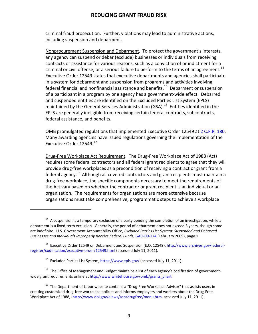criminal fraud prosecution. Further, violations may lead to administrative actions, including suspension and debarment.

Nonprocurement Suspension and Debarment. To protect the government's interests, any agency can suspend or debar (exclude) businesses or individuals from receiving contracts or assistance for various reasons, such as a conviction of or indictment for a criminal or civil offense, or a serious failure to perform to the terms of an agreement.<sup>14</sup> Executive Order 12549 states that executive departments and agencies shall participate in a system for debarment and suspension from programs and activities involving federal financial and nonfinancial assistance and benefits.<sup>15</sup> Debarment or suspension of a participant in a program by one agency has a government-wide effect. Debarred and suspended entities are identified on the Excluded Parties List System (EPLS) maintained by the General Services Administration (GSA).  $^{16}$  $^{16}$  $^{16}$  Entities identified in the EPLS are generally ineligible from receiving certain federal contracts, subcontracts, federal assistance, and benefits.

OMB promulgated regulations that implemented Executive Order 12549 at [2 C.F.R. 180.](http://ecfr.gpoaccess.gov/cgi/t/text/text-idx?c=ecfr&sid=d01e5b3b6fb722507a1507b90dab978b&tpl=/ecfrbrowse/Title02/2cfr180_main_02.tpl) Many awarding agencies have issued regulations governing the implementation of the Executive Order 12549.<sup>17</sup>

Drug-Free Workplace Act Requirement. The Drug-Free Workplace Act of 1988 (Act) requires some federal contractors and all federal grant recipients to agree that they will provide drug-free workplaces as a precondition of receiving a contract or grant from a federal agency.<sup>[18](#page-10-4)</sup> Although all covered contractors and grant recipients must maintain a drug-free workplace, the specific components necessary to meet the requirements of the Act vary based on whether the contractor or grant recipient is an individual or an organization. The requirements for organizations are more extensive because organizations must take comprehensive, programmatic steps to achieve a workplace

.

<span id="page-10-3"></span><span id="page-10-2"></span> $17$  The Office of Management and Budget maintains a list of each agency's codification of governmentwide grant requirements online at http://www.whitehouse.gov/omb/grants\_chart.

<span id="page-10-0"></span><sup>&</sup>lt;sup>14</sup> A suspension is a temporary exclusion of a party pending the completion of an investigation, while a debarment is a fixed-term exclusion. Generally, the period of debarment does not exceed 3 years, though some are indefinite. U.S. Government Accountability Office, *Excluded Parties List System: Suspended and Debarred Businesses and Individuals Improperly Receive Federal Funds*[, GAO-09-174 \(](http://www.gao.gov/new.items/d09174.pdf)February 2009), page 1.

<span id="page-10-1"></span><sup>&</sup>lt;sup>15</sup> Executive Order 12549 on Debarment and Suspension (E.O. 12549), [http://www.archives.gov/federal](http://www.archives.gov/federal-register/codification/executive-order/12549.html)[register/codification/executive-order/12549.html](http://www.archives.gov/federal-register/codification/executive-order/12549.html) (accessed July 11, 2011).

<sup>&</sup>lt;sup>16</sup> Excluded Parties List System,<https://www.epls.gov/> (accessed July 11, 2011).

<span id="page-10-4"></span> $18$  The Department of Labor website contains a "Drug-Free Workplace Advisor" that assists users in creating customized drug-free workplace policies and informs employers and workers about the Drug-Free Workplace Act of 1988, [\(http://www.dol.gov/elaws/asp/drugfree/menu.htm,](http://www.dol.gov/elaws/asp/drugfree/menu.htm) accessed July 11, 2011).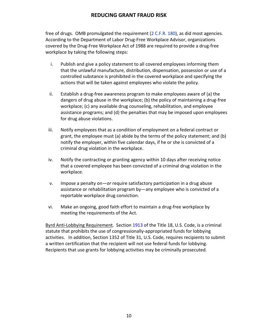free of drugs. OMB promulgated the requirement [\(2 C.F.R. 180\)](http://ecfr.gpoaccess.gov/cgi/t/text/text-idx?c=ecfr&sid=9bf0c7e3f329a6593708ea4deae3c143&tpl=/ecfrbrowse/Title02/2cfr182_main_02.tpl), as did most agencies. According to the Department of Labor Drug-Free Workplace Advisor, organizations covered by the Drug-Free Workplace Act of 1988 are required to provide a drug-free workplace by taking the following steps:

- i. Publish and give a policy statement to all covered employees informing them that the unlawful manufacture, distribution, dispensation, possession or use of a controlled substance is prohibited in the covered workplace and specifying the actions that will be taken against employees who violate the policy.
- ii. Establish a drug-free awareness program to make employees aware of (a) the dangers of drug abuse in the workplace; (b) the policy of maintaining a drug-free workplace; (c) any available drug counseling, rehabilitation, and employee assistance programs; and (d) the penalties that may be imposed upon employees for drug abuse violations.
- iii. Notify employees that as a condition of employment on a federal contract or grant, the employee must (a) abide by the terms of the policy statement; and (b) notify the employer, within five calendar days, if he or she is convicted of a criminal drug violation in the workplace.
- iv. Notify the contracting or granting agency within 10 days after receiving notice that a covered employee has been convicted of a criminal drug violation in the workplace.
- v. Impose a penalty on—*or* require satisfactory participation in a drug abuse assistance or rehabilitation program by—any employee who is convicted of a reportable workplace drug conviction.
- vi. Make an ongoing, good faith effort to maintain a drug-free workplace by meeting the requirements of the Act.

Byrd Anti-Lobbying Requirement. Section [1913](http://frwebgate.access.gpo.gov/cgi-bin/usc.cgi?ACTION=RETRIEVE&FILE=$$xa$$busc18.wais&start=2985332&SIZE=4197&TYPE=TEXT) of the Title 18, U.S. Code, is a criminal statute that prohibits the use of congressionally-appropriated funds for lobbying activities. In addition, Section 1352 of Title 31, U.S. Code, requires recipients to submit a written certification that the recipient will not use federal funds for lobbying. Recipients that use grants for lobbying activities may be criminally prosecuted.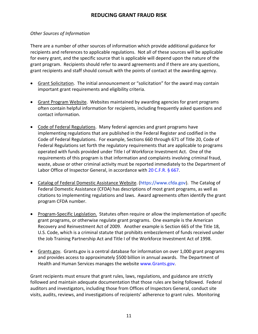#### <span id="page-12-0"></span>*Other Sources of Information*

There are a number of other sources of information which provide additional guidance for recipients and references to applicable regulations. Not all of these sources will be applicable for every grant, and the specific source that is applicable will depend upon the nature of the grant program. Recipients should refer to award agreements and if there are any questions, grant recipients and staff should consult with the points of contact at the awarding agency.

- Grant Solicitation. The initial announcement or "solicitation" for the award may contain important grant requirements and eligibility criteria.
- Grant Program Website. Websites maintained by awarding agencies for grant programs often contain helpful information for recipients, including frequently asked questions and contact information.
- Code of Federal Regulations. Many federal agencies and grant programs have implementing regulations that are published in the Federal Register and codified in the Code of Federal Regulations. For example, Sections 660 through 671 of Title 20, Code of Federal Regulations set forth the regulatory requirements that are applicable to programs operated with funds provided under Title I of Workforce Investment Act. One of the requirements of this program is that information and complaints involving criminal fraud, waste, abuse or other criminal activity must be reported immediately to the Department of Labor Office of Inspector General, in accordance with [20 C.F.R. § 667.](http://ecfr.gpoaccess.gov/cgi/t/text/text-idx?c=ecfr&sid=cbab78bff30951ef0b24306eb58ee7a3&rgn=div8&view=text&node=20:3.0.2.1.46.6.30.3&idno=20)
- Catalog of Federal Domestic Assistance Website. [\(https://www.cfda.gov\)](https://www.cfda.gov/). The Catalog of Federal Domestic Assistance (CFDA) has descriptions of most grant programs, as well as citations to implementing regulations and laws. Award agreements often identify the grant program CFDA number.
- Program-Specific Legislation. Statutes often require or allow the implementation of specific grant programs, or otherwise regulate grant programs. One example is the American Recovery and Reinvestment Act of 2009.Another example is Section 665 of the Title 18, U.S. Code, which is a criminal statute that prohibits embezzlement of funds received under the Job Training Partnership Act and Title I of the Workforce Investment Act of 1998.
- Grants.gov. Grants.gov is a central database for information on over 1,000 grant programs and provides access to approximately \$500 billion in annual awards. The Department of Health and Human Services manages the website [www.Grants.gov.](http://www.grants.gov/)

Grant recipients must ensure that grant rules, laws, regulations, and guidance are strictly followed and maintain adequate documentation that those rules are being followed. Federal auditors and investigators, including those from Offices of Inspectors General, conduct site visits, audits, reviews, and investigations of recipients' adherence to grant rules. Monitoring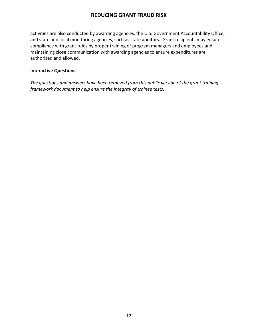activities are also conducted by awarding agencies, the U.S. Government Accountability Office, and state and local monitoring agencies, such as state auditors. Grant recipients may ensure compliance with grant rules by proper training of program managers and employees and maintaining close communication with awarding agencies to ensure expenditures are authorized and allowed.

#### <span id="page-13-0"></span>**Interactive Questions**

*The questions and answers have been removed from this public version of the grant training framework document to help ensure the integrity of trainee tests.*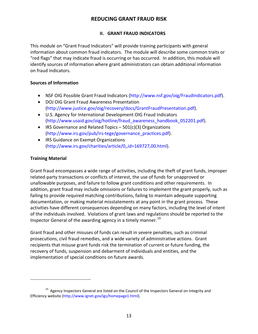#### **II. GRANT FRAUD INDICATORS**

<span id="page-14-0"></span>This module on "Grant Fraud Indicators" will provide training participants with general information about common fraud indicators. The module will describe some common traits or "red flags" that may indicate fraud is occurring or has occurred. In addition, this module will identify sources of information where grant administrators can obtain additional information on fraud indicators.

#### <span id="page-14-1"></span>**Sources of Information**

- NSF OIG Possible Grant Fraud Indicators [\(http://www.nsf.gov/oig/FraudIndicators.pdf\)](http://www.nsf.gov/oig/FraudIndicators.pdf).
- DOJ OIG Grant Fraud Awareness Presentation [\(http://www.justice.gov/oig/recovery/docs/GrantFraudPresentation.pdf\)](http://www.justice.gov/oig/recovery/docs/GrantFraudPresentation.pdf).
- U.S. Agency for International Development OIG Fraud Indicators [\(http://www.usaid.gov/oig/hotline/fraud\\_awareness\\_handbook\\_052201.pdf\)](http://www.usaid.gov/oig/hotline/fraud_awareness_handbook_052201.pdf).
- IRS Governance and Related Topics  $-501(c)(3)$  Organizations [\(http://www.irs.gov/pub/irs-tege/governance\\_practices.pdf\)](http://www.irs.gov/pub/irs-tege/governance_practices.pdf).
- IRS Guidance on Exempt Organizations [\(http://www.irs.gov/charities/article/0,,id=169727,00.html\)](http://www.irs.gov/charities/article/0,,id=169727,00.html).

## <span id="page-14-2"></span>**Training Material**

l

Grant fraud encompasses a wide range of activities, including the theft of grant funds, improper related-party transactions or conflicts of interest, the use of funds for unapproved or unallowable purposes, and failure to follow grant conditions and other requirements. In addition, grant fraud may include omissions or failures to implement the grant properly, such as failing to provide required matching contributions, failing to maintain adequate supporting documentation, or making material misstatements at any point in the grant process. These activities have different consequences depending on many factors, including the level of intent of the individuals involved. Violations of grant laws and regulations should be reported to the Inspector General of the awarding agency in a timely manner.<sup>[19](#page-14-3)</sup>

Grant fraud and other misuses of funds can result in severe penalties, such as criminal prosecutions, civil fraud remedies, and a wide variety of administrative actions. Grant recipients that misuse grant funds risk the termination of current or future funding, the recovery of funds, suspension and debarment of individuals and entities, and the implementation of special conditions on future awards.

<span id="page-14-3"></span> $19$  Agency Inspectors General are listed on the Council of the Inspectors General on Integrity and Efficiency website [\(http://www.ignet.gov/igs/homepage1.html\)](http://www.ignet.gov/igs/homepage1.html).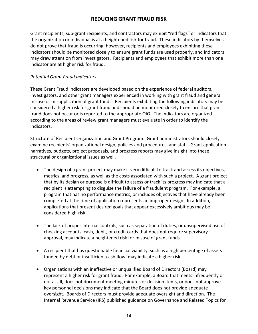Grant recipients, sub-grant recipients, and contractors may exhibit "red flags" or indicators that the organization or individual is at a heightened risk for fraud. These indicators by themselves do not prove that fraud is occurring; however, recipients and employees exhibiting these indicators should be monitored closely to ensure grant funds are used properly, and indicators may draw attention from investigators. Recipients and employees that exhibit more than one indicator are at higher risk for fraud.

#### <span id="page-15-0"></span>*Potential Grant Fraud Indicators*

These Grant Fraud indicators are developed based on the experience of federal auditors, investigators, and other grant managers experienced in working with grant fraud and general misuse or misapplication of grant funds. Recipients exhibiting the following indicators may be considered a higher risk for grant fraud and should be monitored closely to ensure that grant fraud does not occur or is reported to the appropriate OIG. The indicators are organized according to the areas of review grant managers must evaluate in order to identify the indicators.

Structure of Recipient Organization and Grant Program. Grant administrators should closely examine recipients' organizational design, policies and procedures, and staff. Grant application narratives, budgets, project proposals, and progress reports may give insight into these structural or organizational issues as well.

- The design of a grant project may make it very difficult to track and assess its objectives, metrics, and progress, as well as the costs associated with such a project. A grant project that by its design or purpose is difficult to assess or track its progress may indicate that a recipient is attempting to disguise the failure of a fraudulent program. For example, a program that has no performance metrics, or includes objectives that have already been completed at the time of application represents an improper design. In addition, applications that present desired goals that appear excessively ambitious may be considered high-risk.
- The lack of proper internal controls, such as separation of duties, or unsupervised use of checking accounts, cash, debit, or credit cards that does not require supervisory approval, may indicate a heightened risk for misuse of grant funds.
- A recipient that has questionable financial viability, such as a high percentage of assets funded by debt or insufficient cash flow, may indicate a higher risk.
- Organizations with an ineffective or unqualified Board of Directors (Board) may represent a higher risk for grant fraud. For example, a Board that meets infrequently or not at all, does not document meeting minutes or decision items, or does not approve key personnel decisions may indicate that the Board does not provide adequate oversight. Boards of Directors must provide adequate oversight and direction. The Internal Revenue Service (IRS) published guidance on Governance and Related Topics for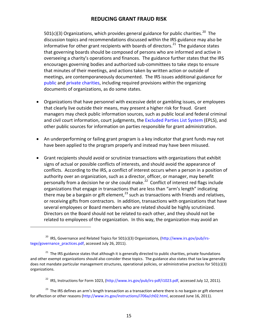501(c)(3) Organizations, which provides general guidance for public charities.<sup>20</sup> The discussion topics and recommendations discussed within the IRS guidance may also be informative for other grant recipients with boards of directors.<sup>[21](#page-16-1)</sup> The guidance states that governing boards should be composed of persons who are informed and active in overseeing a charity's operations and finances. The guidance further states that the IRS encourages governing bodies and authorized sub-committees to take steps to ensure that minutes of their meetings, and actions taken by written action or outside of meetings, are contemporaneously documented. The IRS issues additional guidance for [public](http://www.irs.gov/charities/charitable/article/0,,id=122670,00.html) and [private charities,](http://www.irs.gov/charities/article/0,,id=169727,00.html) including required provisions within the organizing documents of organizations, as do some states.

- Organizations that have personnel with excessive debt or gambling issues, or employees that clearly live outside their means, may present a higher risk for fraud. Grant managers may check public information sources, such as public local and federal criminal and civil court information, court judgments, the [Excluded Parties List System](https://www.epls.gov/) (EPLS), and other public sources for information on parties responsible for grant administration.
- An underperforming or failing grant program is a key indicator that grant funds may not have been applied to the program properly and instead may have been misused.
- Grant recipients should avoid or scrutinize transactions with organizations that exhibit signs of actual or possible conflicts of interests, and should avoid the appearance of conflicts. According to the IRS, a conflict of interest occurs when a person in a position of authority over an organization, such as a director, officer, or manager, may benefit personally from a decision he or she could make.<sup>[22](#page-16-2)</sup> Conflict of interest red flags include organizations that engage in transactions that are less than "arm's length" indicating there may be a bargain or gift element,  $^{23}$  $^{23}$  $^{23}$  such as transactions with friends and relatives, or receiving gifts from contractors. In addition, transactions with organizations that have several employees or Board members who are related should be highly scrutinized. Directors on the Board should not be related to each other, and they should not be related to employees of the organization. In this way, the organization may avoid an

l

<span id="page-16-0"></span><sup>&</sup>lt;sup>20</sup> IRS, Governance and Related Topics for 501(c)(3) Organizations, [\(http://www.irs.gov/pub/irs](http://www.irs.gov/pub/irs-tege/governance_practices.pdf)[tege/governance\\_practices.pdf,](http://www.irs.gov/pub/irs-tege/governance_practices.pdf) accessed July 26, 2011).

<span id="page-16-1"></span><sup>&</sup>lt;sup>21</sup> The IRS guidance states that although it is generally directed to public charities, private foundations and other exempt organizations should also consider these topics. The guidance also states that tax law generally does not mandate particular management structures, operational policies, or administrative practices for 501(c)(3) organizations.

<sup>&</sup>lt;sup>22</sup> IRS, Instructions for Form 1023, [\(http://www.irs.gov/pub/irs-pdf/i1023.pdf,](http://www.irs.gov/pub/irs-pdf/i1023.pdf) accessed July 12, 2011).

<span id="page-16-3"></span><span id="page-16-2"></span><sup>&</sup>lt;sup>23</sup> The IRS defines an arm's length transaction as a transaction where there is no bargain or gift element for affection or other reasons [\(http://www.irs.gov/instructions/i706a/ch02.html,](http://www.irs.gov/instructions/i706a/ch02.html) accessed June 16, 2011).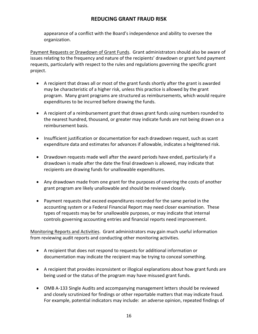appearance of a conflict with the Board's independence and ability to oversee the organization.

Payment Requests or Drawdown of Grant Funds. Grant administrators should also be aware of issues relating to the frequency and nature of the recipients' drawdown or grant fund payment requests, particularly with respect to the rules and regulations governing the specific grant project.

- A recipient that draws all or most of the grant funds shortly after the grant is awarded may be characteristic of a higher risk, unless this practice is allowed by the grant program. Many grant programs are structured as reimbursements, which would require expenditures to be incurred before drawing the funds.
- A recipient of a reimbursement grant that draws grant funds using numbers rounded to the nearest hundred, thousand, or greater may indicate funds are not being drawn on a reimbursement basis.
- Insufficient justification or documentation for each drawdown request, such as scant expenditure data and estimates for advances if allowable, indicates a heightened risk.
- Drawdown requests made well after the award periods have ended, particularly if a drawdown is made after the date the final drawdown is allowed, may indicate that recipients are drawing funds for unallowable expenditures.
- Any drawdown made from one grant for the purposes of covering the costs of another grant program are likely unallowable and should be reviewed closely.
- Payment requests that exceed expenditures recorded for the same period in the accounting system or a Federal Financial Report may need closer examination. These types of requests may be for unallowable purposes, or may indicate that internal controls governing accounting entries and financial reports need improvement.

Monitoring Reports and Activities. Grant administrators may gain much useful information from reviewing audit reports and conducting other monitoring activities.

- A recipient that does not respond to requests for additional information or documentation may indicate the recipient may be trying to conceal something.
- A recipient that provides inconsistent or illogical explanations about how grant funds are being used or the status of the program may have misused grant funds.
- OMB A-133 Single Audits and accompanying management letters should be reviewed and closely scrutinized for findings or other reportable matters that may indicate fraud. For example, potential indicators may include: an adverse opinion, repeated findings of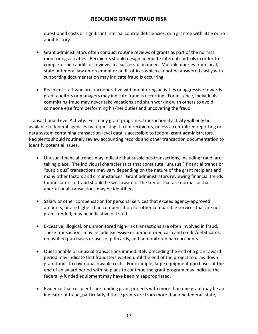questioned costs or significant internal control deficiencies, or a grantee with little or no audit history.

- Grant administrators often conduct routine reviews of grants as part of the normal monitoring activities. Recipients should design adequate internal controls in order to complete such audits or reviews in a successful manner. Multiple queries from local, state or federal law enforcement or audit offices which cannot be answered easily with supporting documentation may indicate fraud is occurring.
- Recipient staff who are uncooperative with monitoring activities or aggressive towards grant auditors or managers may indicate fraud is occurring. For instance, individuals committing fraud may never take vacations and shun working with others to avoid someone else from performing his/her duties and uncovering the fraud.

Transactional-Level Activity. For many grant programs, transactional activity will only be available to federal agencies by requesting it from recipients, unless a centralized reporting or data system containing transaction-level data is accessible to federal grant administrators. Recipients should routinely review accounting records and other transaction documentation to identify potential issues.

- Unusual financial trends may indicate that suspicious transactions, including fraud, are taking place. The individual characteristics that constitute "unusual" financial trends or "suspicious" transactions may vary depending on the nature of the grant recipient and many other factors and circumstances. Grant administrators reviewing financial trends for indicators of fraud should be well aware of the trends that are normal so that aberrational transactions may be identified.
- Salary or other compensation for personal services that exceed agency-approved amounts, or are higher than compensation for other comparable services that are not grant-funded, may be indicative of fraud.
- Excessive, illogical, or unmonitored high-risk transactions are often involved in fraud. These transactions may include excessive or unmonitored cash and credit/debit cards, unjustified purchases or uses of gift cards, and unmonitored bank accounts.
- Questionable or unusual transactions immediately preceding the end of a grant award period may indicate that fraudsters waited until the end of the project to draw down grant funds to cover unallowable costs. For example, large equipment purchases at the end of an award period with no plans to continue the grant program may indicate the federally-funded equipment may have been misappropriated.
- Evidence that recipients are funding grant projects with more than one grant may be an indicator of fraud, particularly if those grants are from more than one federal, state,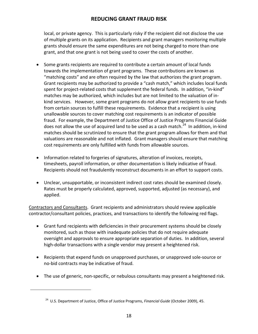local, or private agency. This is particularly risky if the recipient did not disclose the use of multiple grants on its application. Recipients and grant managers monitoring multiple grants should ensure the same expenditures are not being charged to more than one grant, and that one grant is not being used to cover the costs of another.

- Some grants recipients are required to contribute a certain amount of local funds towards the implementation of grant programs. These contributions are known as "matching costs" and are often required by the law that authorizes the grant program. Grant recipients may be authorized to provide a "cash match," which includes local funds spent for project-related costs that supplement the federal funds. In addition, "in-kind" matches may be authorized, which includes but are not limited to the valuation of inkind services. However, some grant programs do not allow grant recipients to use funds from certain sources to fulfill these requirements. Evidence that a recipient is using unallowable sources to cover matching cost requirements is an indicator of possible fraud. For example, the Department of Justice Office of Justice Programs Financial Guide does not allow the use of acquired land to be used as a cash match.<sup>24</sup> In addition, in-kind matches should be scrutinized to ensure that the grant program allows for them and that valuations are reasonable and not inflated. Grant managers should ensure that matching cost requirements are only fulfilled with funds from allowable sources.
- Information related to forgeries of signatures, alteration of invoices, receipts, timesheets, payroll information, or other documentation is likely indicative of fraud. Recipients should not fraudulently reconstruct documents in an effort to support costs.
- Unclear, unsupportable, or inconsistent indirect cost rates should be examined closely. Rates must be properly calculated, approved, supported, adjusted (as necessary), and applied.

Contractors and Consultants. Grant recipients and administrators should review applicable contractor/consultant policies, practices, and transactions to identify the following red flags.

- Grant fund recipients with deficiencies in their procurement systems should be closely monitored, such as those with inadequate policies that do not require adequate oversight and approvals to ensure appropriate separation of duties. In addition, several high-dollar transactions with a single vendor may present a heightened risk.
- Recipients that expend funds on unapproved purchases, or unapproved sole-source or no-bid contracts may be indicative of fraud.
- The use of generic, non-specific, or nebulous consultants may present a heightened risk.

<span id="page-19-0"></span>j

<sup>24</sup> U.S. Department of Justice, Office of Justice Programs, *Financial Guide* (October 2009), 45.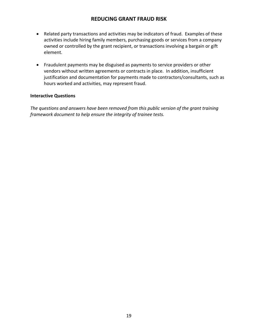- Related party transactions and activities may be indicators of fraud. Examples of these activities include hiring family members, purchasing goods or services from a company owned or controlled by the grant recipient, or transactions involving a bargain or gift element.
- Fraudulent payments may be disguised as payments to service providers or other vendors without written agreements or contracts in place. In addition, insufficient justification and documentation for payments made to contractors/consultants, such as hours worked and activities, may represent fraud.

#### <span id="page-20-0"></span>**Interactive Questions**

*The questions and answers have been removed from this public version of the grant training framework document to help ensure the integrity of trainee tests.*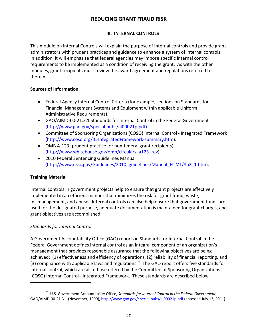#### **III. INTERNAL CONTROLS**

<span id="page-21-0"></span>This module on Internal Controls will explain the purpose of internal controls and provide grant administrators with prudent practices and guidance to enhance a system of internal controls. In addition, it will emphasize that federal agencies may impose specific internal control requirements to be implemented as a condition of receiving the grant. As with the other modules, grant recipients must review the award agreement and regulations referred to therein.

#### <span id="page-21-1"></span>**Sources of Information**

- Federal Agency Internal Control Criteria (for example, sections on Standards for Financial Management Systems and Equipment within applicable Uniform Administrative Requirements).
- GAO/AIMD-00-21.3.1 Standards for Internal Control in the Federal Government [\(http://www.gao.gov/special.pubs/ai00021p.pdf\)](http://www.gao.gov/special.pubs/ai00021p.pdf).
- Committee of Sponsoring Organizations (COSO) Internal Control Integrated Framework [\(http://www.coso.org/IC-IntegratedFramework-summary.htm\)](http://www.coso.org/IC-IntegratedFramework-summary.htm).
- OMB A-123 (prudent practice for non-federal grant recipients) [\(http://www.whitehouse.gov/omb/circulars\\_a123\\_rev\)](http://www.whitehouse.gov/omb/circulars_a123_rev).
- 2010 Federal Sentencing Guidelines Manual [\(http://www.ussc.gov/Guidelines/2010\\_guidelines/Manual\\_HTML/8b2\\_1.htm\)](http://www.ussc.gov/Guidelines/2010_guidelines/Manual_HTML/8b2_1.htm).

## <span id="page-21-2"></span>**Training Material**

.

Internal controls in government projects help to ensure that grant projects are effectively implemented in an efficient manner that minimizes the risk for grant fraud, waste, mismanagement, and abuse. Internal controls can also help ensure that government funds are used for the designated purpose, adequate documentation is maintained for grant charges, and grant objectives are accomplished.

## <span id="page-21-3"></span>*Standards for Internal Control*

A Government Accountability Office (GAO) report on Standards for Internal Control in the Federal Government defines internal control as an integral component of an organization's management that provides reasonable assurance that the following objectives are being achieved: (1) effectiveness and efficiency of operations, (2) reliability of financial reporting, and (3) compliance with applicable laws and regulations. [25](#page-21-4) The GAO report offers five standards for internal control, which are also those offered by the Committee of Sponsoring Organizations (COSO) Internal Control - Integrated Framework. These standards are described below.

<span id="page-21-4"></span><sup>25</sup> U.S. Government Accountability Office, *Standards for Internal Control in the Federal Government*, GAO/AIMD-00-21.3.1 (November, 1999),<http://www.gao.gov/special.pubs/ai00021p.pdf> (accessed July 13, 2011).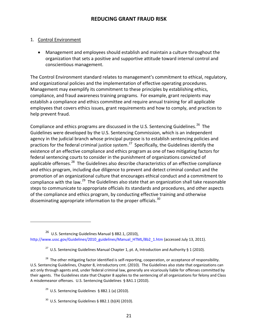#### 1. Control Environment

.

• Management and employees should establish and maintain a culture throughout the organization that sets a positive and supportive attitude toward internal control and conscientious management.

The Control Environment standard relates to management's commitment to ethical, regulatory, and organizational policies and the implementation of effective operating procedures. Management may exemplify its commitment to these principles by establishing ethics, compliance, and fraud awareness training programs. For example, grant recipients may establish a compliance and ethics committee and require annual training for all applicable employees that covers ethics issues, grant requirements and how to comply, and practices to help prevent fraud.

Compliance and ethics programs are discussed in the U.S. Sentencing Guidelines.<sup>[26](#page-22-0)</sup> The Guidelines were developed by the U.S. Sentencing Commission, which is an independent agency in the judicial branch whose principal purpose is to establish sentencing policies and practices for the federal criminal justice system.<sup>27</sup> Specifically, the Guidelines identify the existence of an effective compliance and ethics program as one of two mitigating factors for federal sentencing courts to consider in the punishment of organizations convicted of applicable offenses.<sup>[28](#page-22-2)</sup> The Guidelines also describe characteristics of an effective compliance and ethics program, including due diligence to prevent and detect criminal conduct and the promotion of an organizational culture that encourages ethical conduct and a commitment to compliance with the law.[29](#page-22-3) The Guidelines also state that an organization shall take reasonable steps to communicate to appropriate officials its standards and procedures, and other aspects of the compliance and ethics program, by conducting effective training and otherwise disseminating appropriate information to the proper officials.  $30<sup>30</sup>$  $30<sup>30</sup>$ 

<span id="page-22-0"></span><sup>26</sup> U.S. Sentencing Guidelines Manual § 8B2.1, (2010), [http://www.ussc.gov/Guidelines/2010\\_guidelines/Manual\\_HTML/8b2\\_1.htm](http://www.ussc.gov/Guidelines/2010_guidelines/Manual_HTML/8b2_1.htm) (accessed July 13, 2011).

<sup>&</sup>lt;sup>27</sup> U.S. Sentencing Guidelines Manual Chapter 1, pt. A, Introduction and Authority § 1 (2010).

<span id="page-22-3"></span><span id="page-22-2"></span><span id="page-22-1"></span><sup>&</sup>lt;sup>28</sup> The other mitigating factor identified is self-reporting, cooperation, or acceptance of responsibility. U.S. Sentencing Guidelines, Chapter 8, introductory cmt. (2010). The Guidelines also state that organizations can act only through agents and, under federal criminal law, generally are vicariously liable for offenses committed by their agents. The Guidelines state that Chapter 8 applies to the sentencing of all organizations for felony and Class A misdemeanor offenses. U.S. Sentencing Guidelines § 8A1.1 (2010).

<sup>&</sup>lt;sup>29</sup> U.S. Sentencing Guidelines § 8B2.1 (a) (2010).

<span id="page-22-4"></span> $30$  U.S. Sentencing Guidelines § 8B2.1 (b)(4) (2010).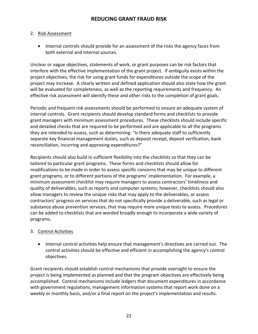#### 2. Risk Assessment

• Internal controls should provide for an assessment of the risks the agency faces from both external and internal sources.

Unclear or vague objectives, statements of work, or grant purposes can be risk factors that interfere with the effective implementation of the grant project. If ambiguity exists within the project objectives, the risk for using grant funds for expenditures outside the scope of the project may increase. A clearly written and defined application should also state how the grant will be evaluated for completeness, as well as the reporting requirements and frequency. An effective risk assessment will identify these and other risks to the completion of grant goals.

Periodic and frequent risk assessments should be performed to ensure an adequate system of internal controls. Grant recipients should develop standard forms and checklists to provide grant managers with minimum assessment procedures. These checklists should include specific and detailed checks that are required to be performed and are applicable to all the programs they are intended to assess, such as determining: "Is there adequate staff to sufficiently separate key financial management duties, such as deposit receipt, deposit verification, bank reconciliation, incurring and approving expenditures?"

Recipients should also build in sufficient flexibility into the checklists so that they can be tailored to particular grant programs. These forms and checklists should allow for modifications to be made in order to assess specific concerns that may be unique to different grant programs, or to different portions of the programs' implementation. For example, a minimum assessment checklist may require managers to assess contractors' timeliness and quality of deliverables, such as reports and computer systems; however, checklists should also allow managers to review the unique risks that may apply to the deliverables, or assess contractors' progress on services that do not specifically provide a deliverable, such as legal or substance abuse prevention services, that may require more unique tests to assess. Procedures can be added to checklists that are worded broadly enough to incorporate a wide variety of programs.

#### 3. Control Activities

• Internal control activities help ensure that management's directives are carried out. The control activities should be effective and efficient in accomplishing the agency's control objectives.

Grant recipients should establish control mechanisms that provide oversight to ensure the project is being implemented as planned and that the program objectives are effectively being accomplished. Control mechanisms include ledgers that document expenditures in accordance with government regulations, management information systems that report work done on a weekly or monthly basis, and/or a final report on the project's implementation and results.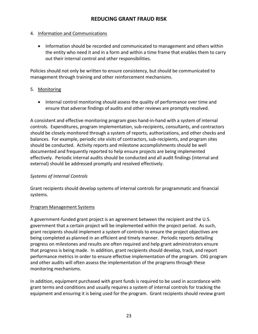#### 4. Information and Communications

• Information should be recorded and communicated to management and others within the entity who need it and in a form and within a time frame that enables them to carry out their internal control and other responsibilities.

Policies should not only be written to ensure consistency, but should be communicated to management through training and other reinforcement mechanisms.

#### 5. Monitoring

• Internal control monitoring should assess the quality of performance over time and ensure that adverse findings of audits and other reviews are promptly resolved.

A consistent and effective monitoring program goes hand-in-hand with a system of internal controls. Expenditures, program implementation, sub-recipients, consultants, and contractors should be closely monitored through a system of reports, authorizations, and other checks and balances. For example, periodic site visits of contractors, sub-recipients, and program sites should be conducted. Activity reports and milestone accomplishments should be well documented and frequently reported to help ensure projects are being implemented effectively. Periodic internal audits should be conducted and all audit findings (internal and external) should be addressed promptly and resolved effectively.

#### <span id="page-24-0"></span>*Systems of Internal Controls*

Grant recipients should develop systems of internal controls for programmatic and financial systems.

#### Program Management Systems

A government-funded grant project is an agreement between the recipient and the U.S. government that a certain project will be implemented within the project period. As such, grant recipients should implement a system of controls to ensure the project objectives are being completed as planned in an efficient and timely manner. Periodic reports detailing progress on milestones and results are often required and help grant administrators ensure that progress is being made. In addition, grant recipients should develop, track, and report performance metrics in order to ensure effective implementation of the program. OIG program and other audits will often assess the implementation of the programs through these monitoring mechanisms.

In addition, equipment purchased with grant funds is required to be used in accordance with grant terms and conditions and usually requires a system of internal controls for tracking the equipment and ensuring it is being used for the program. Grant recipients should review grant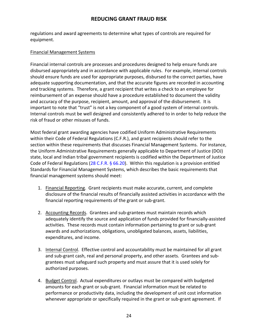regulations and award agreements to determine what types of controls are required for equipment.

#### Financial Management Systems

Financial internal controls are processes and procedures designed to help ensure funds are disbursed appropriately and in accordance with applicable rules. For example, internal controls should ensure funds are used for appropriate purposes, disbursed to the correct parties, have adequate supporting documentation, and that the accurate figures are recorded in accounting and tracking systems. Therefore, a grant recipient that writes a check to an employee for reimbursement of an expense should have a procedure established to document the validity and accuracy of the purpose, recipient, amount, and approval of the disbursement. It is important to note that "trust" is not a key component of a good system of internal controls. Internal controls must be well designed and consistently adhered to in order to help reduce the risk of fraud or other misuses of funds.

Most federal grant awarding agencies have codified Uniform Administrative Requirements within their Code of Federal Regulations (C.F.R.), and grant recipients should refer to the section within these requirements that discusses Financial Management Systems. For instance, the Uniform Administrative Requirements generally applicable to Department of Justice (DOJ) state, local and Indian tribal government recipients is codified within the Department of Justice Code of Federal Regulations [\(28 C.F.R. § 66.20\)](http://ecfr.gpoaccess.gov/cgi/t/text/text-idx?c=ecfr&sid=666300d7672ac917d0dd460cd65ffd09&rgn=div5&view=text&node=28:2.0.1.1.22&idno=28#28:2.0.1.1.22.3.4.1). Within this regulation is a provision entitled Standards for Financial Management Systems, which describes the basic requirements that financial management systems should meet:

- 1. Financial Reporting. Grant recipients must make accurate, current, and complete disclosure of the financial results of financially assisted activities in accordance with the financial reporting requirements of the grant or sub-grant.
- 2. Accounting Records. Grantees and sub-grantees must maintain records which adequately identify the source and application of funds provided for financially-assisted activities. These records must contain information pertaining to grant or sub-grant awards and authorizations, obligations, unobligated balances, assets, liabilities, expenditures, and income.
- 3. Internal Control. Effective control and accountability must be maintained for all grant and sub-grant cash, real and personal property, and other assets. Grantees and subgrantees must safeguard such property and must assure that it is used solely for authorized purposes.
- 4. Budget Control. Actual expenditures or outlays must be compared with budgeted amounts for each grant or sub-grant. Financial information must be related to performance or productivity data, including the development of unit cost information whenever appropriate or specifically required in the grant or sub-grant agreement. If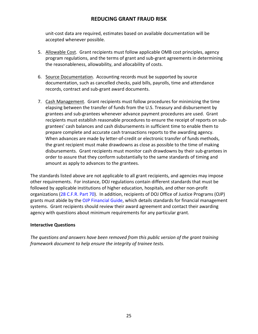unit-cost data are required, estimates based on available documentation will be accepted whenever possible.

- 5. Allowable Cost. Grant recipients must follow applicable OMB cost principles, agency program regulations, and the terms of grant and sub-grant agreements in determining the reasonableness, allowability, and allocability of costs.
- 6. Source Documentation. Accounting records must be supported by source documentation, such as cancelled checks, paid bills, payrolls, time and attendance records, contract and sub-grant award documents.
- 7. Cash Management. Grant recipients must follow procedures for minimizing the time elapsing between the transfer of funds from the U.S. Treasury and disbursement by grantees and sub-grantees whenever advance payment procedures are used. Grant recipients must establish reasonable procedures to ensure the receipt of reports on subgrantees' cash balances and cash disbursements in sufficient time to enable them to prepare complete and accurate cash transactions reports to the awarding agency. When advances are made by letter-of-credit or electronic transfer of funds methods, the grant recipient must make drawdowns as close as possible to the time of making disbursements. Grant recipients must monitor cash drawdowns by their sub-grantees in order to assure that they conform substantially to the same standards of timing and amount as apply to advances to the grantees.

The standards listed above are not applicable to all grant recipients, and agencies may impose other requirements. For instance, DOJ regulations contain different standards that must be followed by applicable institutions of higher education, hospitals, and other non-profit organizations [\(28 C.F.R. Part 70\)](http://ecfr.gpoaccess.gov/cgi/t/text/text-idx?c=ecfr&sid=95f2f0b53bd82bda37921805418141af&rgn=div5&view=text&node=28:2.0.1.1.25&idno=28#28:2.0.1.1.25.3.12.1). In addition, recipients of DOJ Office of Justice Programs (OJP) grants must abide by the [OJP Financial Guide,](http://www.ojp.usdoj.gov/financialguide/) which details standards for financial management systems. Grant recipients should review their award agreement and contact their awarding agency with questions about minimum requirements for any particular grant.

#### <span id="page-26-0"></span>**Interactive Questions**

*The questions and answers have been removed from this public version of the grant training framework document to help ensure the integrity of trainee tests.*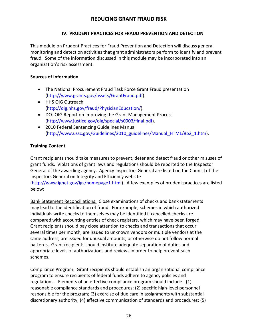#### **IV. PRUDENT PRACTICES FOR FRAUD PREVENTION AND DETECTION**

<span id="page-27-0"></span>This module on Prudent Practices for Fraud Prevention and Detection will discuss general monitoring and detection activities that grant administrators perform to identify and prevent fraud. Some of the information discussed in this module may be incorporated into an organization's risk assessment.

#### <span id="page-27-1"></span>**Sources of Information**

- The National Procurement Fraud Task Force Grant Fraud presentation [\(http://www.grants.gov/assets/GrantFraud.pdf\)](http://www.grants.gov/assets/GrantFraud.pdf).
- HHS OIG Outreach [\(http://oig.hhs.gov/fraud/PhysicianEducation/\)](http://oig.hhs.gov/fraud/PhysicianEducation/).
- DOJ OIG Report on Improving the Grant Management Process [\(http://www.justice.gov/oig/special/s0903/final.pdf\)](http://www.justice.gov/oig/special/s0903/final.pdf).
- 2010 Federal Sentencing Guidelines Manual [\(http://www.ussc.gov/Guidelines/2010\\_guidelines/Manual\\_HTML/8b2\\_1.htm\)](http://www.ussc.gov/Guidelines/2010_guidelines/Manual_HTML/8b2_1.htm).

## <span id="page-27-2"></span>**Training Content**

Grant recipients should take measures to prevent, deter and detect fraud or other misuses of grant funds. Violations of grant laws and regulations should be reported to the Inspector General of the awarding agency. Agency Inspectors General are listed on the Council of the Inspectors General on Integrity and Efficiency website

[\(http://www.ignet.gov/igs/homepage1.html\)](http://www.ignet.gov/igs/homepage1.html). A few examples of prudent practices are listed below:

Bank Statement Reconciliations. Close examinations of checks and bank statements may lead to the identification of fraud. For example, schemes in which authorized individuals write checks to themselves may be identified if cancelled checks are compared with accounting entries of check registers, which may have been forged. Grant recipients should pay close attention to checks and transactions that occur several times per month, are issued to unknown vendors or multiple vendors at the same address, are issued for unusual amounts, or otherwise do not follow normal patterns. Grant recipients should institute adequate separation of duties and appropriate levels of authorizations and reviews in order to help prevent such schemes.

Compliance Program. Grant recipients should establish an organizational compliance program to ensure recipients of federal funds adhere to agency policies and regulations. Elements of an effective compliance program should include: (1) reasonable compliance standards and procedures; (2) specific high-level personnel responsible for the program; (3) exercise of due care in assignments with substantial discretionary authority; (4) effective communication of standards and procedures; (5)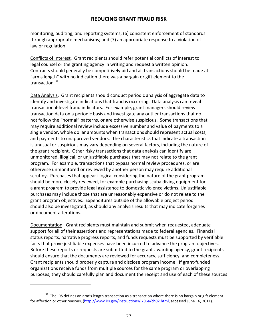monitoring, auditing, and reporting systems; (6) consistent enforcement of standards through appropriate mechanisms; and (7) an appropriate response to a violation of law or regulation.

Conflicts of Interest. Grant recipients should refer potential conflicts of interest to legal counsel or the granting agency in writing and request a written opinion. Contracts should generally be competitively bid and all transactions should be made at "arms length" with no indication there was a bargain or gift element to the transaction.<sup>31</sup>

Data Analysis. Grant recipients should conduct periodic analysis of aggregate data to identify and investigate indications that fraud is occurring. Data analysis can reveal transactional-level fraud indicators. For example, grant managers should review transaction data on a periodic basis and investigate any outlier transactions that do not follow the "normal" patterns, or are otherwise suspicious. Some transactions that may require additional review include excessive number and value of payments to a single vendor, whole dollar amounts when transactions should represent actual costs, and payments to unapproved vendors. The characteristics that indicate a transaction is unusual or suspicious may vary depending on several factors, including the nature of the grant recipient. Other risky transactions that data analysis can identify are unmonitored, illogical, or unjustifiable purchases that may not relate to the grant program. For example, transactions that bypass normal review procedures, or are otherwise unmonitored or reviewed by another person may require additional scrutiny. Purchases that appear illogical considering the nature of the grant program should be more closely reviewed, for example purchasing scuba diving equipment for a grant program to provide legal assistance to domestic violence victims. Unjustifiable purchases may include those that are unreasonably expensive or do not relate to the grant program objectives. Expenditures outside of the allowable project period should also be investigated, as should any analysis results that may indicate forgeries or document alterations.

Documentation. Grant recipients must maintain and submit when requested, adequate support for all of their assertions and representations made to federal agencies. Financial status reports, narrative progress reports, and funds requests must be supported by verifiable facts that prove justifiable expenses have been incurred to advance the program objectives. Before these reports or requests are submitted to the grant-awarding agency, grant recipients should ensure that the documents are reviewed for accuracy, sufficiency, and completeness. Grant recipients should properly capture and disclose program income. If grant-funded organizations receive funds from multiple sources for the same program or overlapping purposes, they should carefully plan and document the receipt and use of each of these sources

l

<span id="page-28-0"></span> $31$  The IRS defines an arm's length transaction as a transaction where there is no bargain or gift element for affection or other reasons, [\(http://www.irs.gov/instructions/i706a/ch02.html,](http://www.irs.gov/instructions/i706a/ch02.html) accessed June 16, 2011).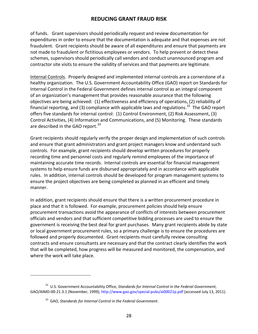of funds. Grant supervisors should periodically request and review documentation for expenditures in order to ensure that the documentation is adequate and that expenses are not fraudulent. Grant recipients should be aware of all expenditures and ensure that payments are not made to fraudulent or fictitious employees or vendors. To help prevent or detect these schemes, supervisors should periodically call vendors and conduct unannounced program and contractor site visits to ensure the validity of services and that payments are legitimate.

Internal Controls. Properly designed and implemented internal controls are a cornerstone of a healthy organization. The U.S. Government Accountability Office (GAO) report on Standards for Internal Control in the Federal Government defines internal control as an integral component of an organization's management that provides reasonable assurance that the following objectives are being achieved: (1) effectiveness and efficiency of operations, (2) reliability of financial reporting, and (3) compliance with applicable laws and regulations.<sup>32</sup> The GAO report offers five standards for internal control: (1) Control Environment, (2) Risk Assessment, (3) Control Activities, (4) Information and Communications, and (5) Monitoring. These standards are described in the GAO report.<sup>[33](#page-29-1)</sup>

Grant recipients should regularly verify the proper design and implementation of such controls and ensure that grant administrators and grant project managers know and understand such controls. For example, grant recipients should develop written procedures for properly recording time and personnel costs and regularly remind employees of the importance of maintaining accurate time records. Internal controls are essential for financial management systems to help ensure funds are disbursed appropriately and in accordance with applicable rules. In addition, internal controls should be developed for program management systems to ensure the project objectives are being completed as planned in an efficient and timely manner.

In addition, grant recipients should ensure that there is a written procurement procedure in place and that it is followed. For example, procurement policies should help ensure procurement transactions avoid the appearance of conflicts of interests between procurement officials and vendors and that sufficient competitive bidding processes are used to ensure the government is receiving the best deal for grant purchases. Many grant recipients abide by state or local government procurement rules, so a primary challenge is to ensure the procedures are followed and properly documented. Grant recipients must carefully review consulting contracts and ensure consultants are necessary and that the contract clearly identifies the work that will be completed, how progress will be measured and monitored, the compensation, and where the work will take place.

.

<span id="page-29-1"></span><span id="page-29-0"></span><sup>32</sup> U.S. Government Accountability Office, *Standards for Internal Control in the Federal Government*, GAO/AIMD-00-21.3.1 (November, 1999),<http://www.gao.gov/special.pubs/ai00021p.pdf> (accessed July 13, 2011).

<sup>33</sup> GAO, *Standards for Internal Control in the Federal Government*.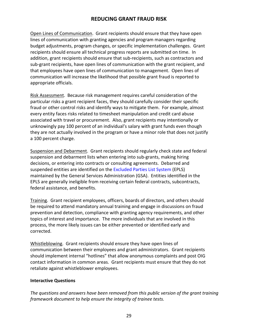Open Lines of Communication. Grant recipients should ensure that they have open lines of communication with granting agencies and program managers regarding budget adjustments, program changes, or specific implementation challenges. Grant recipients should ensure all technical progress reports are submitted on time. In addition, grant recipients should ensure that sub-recipients, such as contractors and sub-grant recipients, have open lines of communication with the grant recipient, and that employees have open lines of communication to management. Open lines of communication will increase the likelihood that possible grant fraud is reported to appropriate officials.

Risk Assessment. Because risk management requires careful consideration of the particular risks a grant recipient faces, they should carefully consider their specific fraud or other control risks and identify ways to mitigate them. For example, almost every entity faces risks related to timesheet manipulation and credit card abuse associated with travel or procurement. Also, grant recipients may intentionally or unknowingly pay 100 percent of an individual's salary with grant funds even though they are not actually involved in the program or have a minor role that does not justify a 100 percent charge.

Suspension and Debarment. Grant recipients should regularly check state and federal suspension and debarment lists when entering into sub-grants, making hiring decisions, or entering into contracts or consulting agreements. Debarred and suspended entities are identified on the [Excluded Parties List System](https://www.epls.gov/) (EPLS) maintained by the General Services Administration (GSA). Entities identified in the EPLS are generally ineligible from receiving certain federal contracts, subcontracts, federal assistance, and benefits.

Training. Grant recipient employees, officers, boards of directors, and others should be required to attend mandatory annual training and engage in discussions on fraud prevention and detection, compliance with granting agency requirements, and other topics of interest and importance. The more individuals that are involved in this process, the more likely issues can be either prevented or identified early and corrected.

Whistleblowing. Grant recipients should ensure they have open lines of communication between their employees and grant administrators. Grant recipients should implement internal "hotlines" that allow anonymous complaints and post OIG contact information in common areas. Grant recipients must ensure that they do not retaliate against whistleblower employees.

#### <span id="page-30-0"></span>**Interactive Questions**

*The questions and answers have been removed from this public version of the grant training framework document to help ensure the integrity of trainee tests.*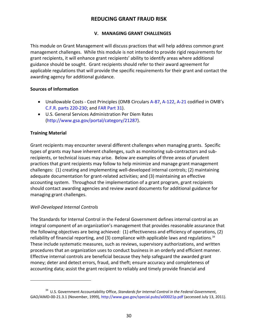#### **V. MANAGING GRANT CHALLENGES**

<span id="page-31-0"></span>This module on Grant Management will discuss practices that will help address common grant management challenges. While this module is not intended to provide rigid requirements for grant recipients, it will enhance grant recipients' ability to identify areas where additional guidance should be sought. Grant recipients should refer to their award agreement for applicable regulations that will provide the specific requirements for their grant and contact the awarding agency for additional guidance.

#### <span id="page-31-1"></span>**Sources of Information**

- Unallowable Costs Cost Principles (OMB Circulars [A-87,](http://www.whitehouse.gov/omb/circulars_a087_2004) [A-122,](http://www.whitehouse.gov/omb/circulars_a122_2004) [A-21](http://www.whitehouse.gov/omb/circulars_a021_2004) codified in OMB's [C.F.R. parts 220-230;](http://ecfr.gpoaccess.gov/cgi/t/text/text-idx?sid=7c1c5c8102c2475e5835fdea9207e5cb&c=ecfr&tpl=/ecfrbrowse/Title02/2cfrv1_02.tpl#175) and [FAR Part 31\)](https://www.acquisition.gov/far/html/FARTOCP31.html).
- U.S. General Services Administration Per Diem Rates [\(http://www.gsa.gov/portal/category/21287\)](http://www.gsa.gov/portal/category/21287).

#### <span id="page-31-2"></span>**Training Material**

l

Grant recipients may encounter several different challenges when managing grants. Specific types of grants may have inherent challenges, such as monitoring sub-contractors and subrecipients, or technical issues may arise. Below are examples of three areas of prudent practices that grant recipients may follow to help minimize and manage grant management challenges: (1) creating and implementing well-developed internal controls; (2) maintaining adequate documentation for grant-related activities; and (3) maintaining an effective accounting system. Throughout the implementation of a grant program, grant recipients should contact awarding agencies and review award documents for additional guidance for managing grant challenges.

#### <span id="page-31-3"></span>*Well-Developed Internal Controls*

The Standards for Internal Control in the Federal Government defines internal control as an integral component of an organization's management that provides reasonable assurance that the following objectives are being achieved: (1) effectiveness and efficiency of operations, (2) reliability of financial reporting, and (3) compliance with applicable laws and regulations.<sup>34</sup> These include systematic measures, such as reviews, supervisory authorizations, and written procedures that an organization uses to conduct business in an orderly and efficient manner. Effective internal controls are beneficial because they help safeguard the awarded grant money; deter and detect errors, fraud, and theft; ensure accuracy and completeness of accounting data; assist the grant recipient to reliably and timely provide financial and

<span id="page-31-4"></span><sup>34</sup> U.S. Government Accountability Office, *Standards for Internal Control in the Federal Government*, GAO/AIMD-00-21.3.1 (November, 1999),<http://www.gao.gov/special.pubs/ai00021p.pdf> (accessed July 13, 2011).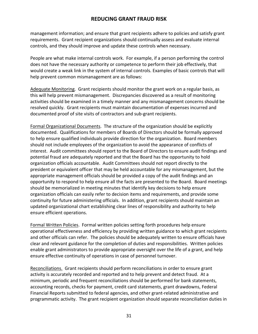management information; and ensure that grant recipients adhere to policies and satisfy grant requirements. Grant recipient organizations should continually assess and evaluate internal controls, and they should improve and update these controls when necessary.

People are what make internal controls work. For example, if a person performing the control does not have the necessary authority or competence to perform their job effectively, that would create a weak link in the system of internal controls. Examples of basic controls that will help prevent common mismanagement are as follows:

Adequate Monitoring. Grant recipients should monitor the grant work on a regular basis, as this will help prevent mismanagement. Discrepancies discovered as a result of monitoring activities should be examined in a timely manner and any mismanagement concerns should be resolved quickly. Grant recipients must maintain documentation of expenses incurred and documented proof of site visits of contractors and sub-grant recipients.

Formal Organizational Documents. The structure of the organization should be explicitly documented. Qualifications for members of Boards of Directors should be formally approved to help ensure qualified individuals provide direction for the organization. Board members should not include employees of the organization to avoid the appearance of conflicts of interest. Audit committees should report to the Board of Directors to ensure audit findings and potential fraud are adequately reported and that the Board has the opportunity to hold organization officials accountable. Audit Committees should not report directly to the president or equivalent officer that may be held accountable for any mismanagement, but the appropriate management officials should be provided a copy of the audit findings and an opportunity to respond to help ensure all the facts are presented to the Board. Board meetings should be memorialized in meeting minutes that identify key decisions to help ensure organization officials can easily refer to decision items and requirements, and provide some continuity for future administering officials. In addition, grant recipients should maintain an updated organizational chart establishing clear lines of responsibility and authority to help ensure efficient operations.

Formal Written Policies. Formal written policies setting forth procedures help ensure operational effectiveness and efficiency by providing written guidance to which grant recipients and other officials can refer. The policies should be adequately written to ensure officials have clear and relevant guidance for the completion of duties and responsibilities. Written policies enable grant administrators to provide appropriate oversight over the life of a grant, and help ensure effective continuity of operations in case of personnel turnover.

Reconciliations. Grant recipients should perform reconciliations in order to ensure grant activity is accurately recorded and reported and to help prevent and detect fraud. At a minimum, periodic and frequent reconciliations should be performed for bank statements, accounting records, checks for payment, credit card statements, grant drawdowns, Federal Financial Reports submitted to federal agencies, and other grant-related administrative and programmatic activity. The grant recipient organization should separate reconciliation duties in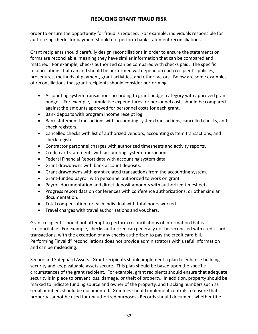order to ensure the opportunity for fraud is reduced. For example, individuals responsible for authorizing checks for payment should not perform bank statement reconciliations.

Grant recipients should carefully design reconciliations in order to ensure the statements or forms are reconcilable, meaning they have similar information that can be compared and matched. For example, checks authorized can be compared with checks paid. The specific reconciliations that can and should be performed will depend on each recipient's policies, procedures, methods of payment, grant activities, and other factors. Below are some examples of reconciliations that grant recipients should consider performing.

- Accounting system transactions according to grant budget category with approved grant budget. For example, cumulative expenditures for personnel costs should be compared against the amounts approved for personnel costs for each grant.
- Bank deposits with program income receipt log.
- Bank statement transactions with accounting system transactions, cancelled checks, and check registers.
- Cancelled checks with list of authorized vendors, accounting system transactions, and check register.
- Contractor personnel charges with authorized timesheets and activity reports.
- Credit card statements with accounting system transactions.
- Federal Financial Report data with accounting system data.
- Grant drawdowns with bank account deposits.
- Grant drawdowns with grant-related transactions from the accounting system.
- Grant-funded payroll with personnel authorized to work on grant.
- Payroll documentation and direct deposit amounts with authorized timesheets.
- Progress report data on conferences with conference authorizations, or other similar documentation.
- Total compensation for each individual with total hours worked.
- Travel charges with travel authorizations and vouchers.

Grant recipients should not attempt to perform reconciliations of information that is irreconcilable. For example, checks authorized can generally not be reconciled with credit card transactions, with the exception of any checks authorized to pay the credit card bill. Performing "invalid" reconciliations does not provide administrators with useful information and can be misleading.

Secure and Safeguard Assets. Grant recipients should implement a plan to enhance building security and keep valuable assets secure. This plan should be based upon the specific circumstances of the grant recipient. For example, grant recipients should ensure that adequate security is in place to prevent loss, damage, or theft of property. In addition, property should be marked to indicate funding source and owner of the property, and tracking numbers such as serial numbers should be documented. Grantees should implement controls to ensure that property cannot be used for unauthorized purposes. Records should document whether title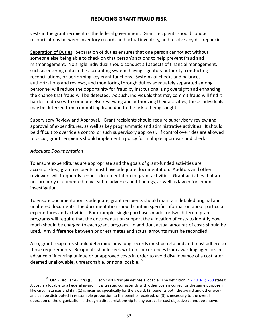vests in the grant recipient or the federal government. Grant recipients should conduct reconciliations between inventory records and actual inventory, and resolve any discrepancies.

Separation of Duties. Separation of duties ensures that one person cannot act without someone else being able to check on that person's actions to help prevent fraud and mismanagement. No single individual should conduct all aspects of financial management, such as entering data in the accounting system, having signatory authority, conducting reconciliations, or performing key grant functions. Systems of checks and balances, authorizations and reviews, and monitoring through duties adequately separated among personnel will reduce the opportunity for fraud by institutionalizing oversight and enhancing the chance that fraud will be detected. As such, individuals that may commit fraud will find it harder to do so with someone else reviewing and authorizing their activities; these individuals may be deterred from committing fraud due to the risk of being caught.

Supervisory Review and Approval. Grant recipients should require supervisory review and approval of expenditures, as well as key programmatic and administrative activities. It should be difficult to override a control or such supervisory approval. If control overrides are allowed to occur, grant recipients should implement a policy for multiple approvals and checks.

#### <span id="page-34-0"></span>*Adequate Documentation*

j

To ensure expenditures are appropriate and the goals of grant-funded activities are accomplished, grant recipients must have adequate documentation. Auditors and other reviewers will frequently request documentation for grant activities. Grant activities that are not properly documented may lead to adverse audit findings, as well as law enforcement investigation.

To ensure documentation is adequate, grant recipients should maintain detailed original and unaltered documents. The documentation should contain specific information about particular expenditures and activities. For example, single purchases made for two different grant programs will require that the documentation support the allocation of costs to identify how much should be charged to each grant program. In addition, actual amounts of costs should be used. Any difference between prior estimates and actual amounts must be reconciled.

Also, grant recipients should determine how long records must be retained and must adhere to those requirements. Recipients should seek written concurrences from awarding agencies in advance of incurring unique or unapproved costs in order to avoid disallowance of a cost later deemed unallowable, unreasonable, or nonallocable.<sup>35</sup>

<span id="page-34-1"></span><sup>&</sup>lt;sup>35</sup> OMB Circular A-122(A)(6). Each Cost Principle defines allocable. The definition i[n 2 C.F.R. § 230](http://ecfr.gpoaccess.gov/cgi/t/text/text-idx?c=ecfr&sid=51b94f744774e84752c7f81ca6935cf5&tpl=/ecfrbrowse/Title02/2cfr230_main_02.tpl) states: A cost is allocable to a Federal award if it is treated consistently with other costs incurred for the same purpose in like circumstances and if it: (1) is incurred specifically for the award, (2) benefits both the award and other work and can be distributed in reasonable proportion to the benefits received, or (3) is necessary to the overall operation of the organization, although a direct relationship to any particular cost objective cannot be shown.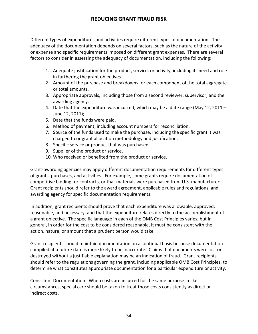Different types of expenditures and activities require different types of documentation. The adequacy of the documentation depends on several factors, such as the nature of the activity or expense and specific requirements imposed on different grant expenses. There are several factors to consider in assessing the adequacy of documentation, including the following:

- 1. Adequate justification for the product, service, or activity, including its need and role in furthering the grant objectives.
- 2. Amount of the purchase and breakdowns for each component of the total aggregate or total amounts.
- 3. Appropriate approvals, including those from a second reviewer, supervisor, and the awarding agency.
- 4. Date that the expenditure was incurred, which may be a date range (May 12, 2011 June 12, 2011);
- 5. Date that the funds were paid.
- 6. Method of payment, including account numbers for reconciliation.
- 7. Source of the funds used to make the purchase, including the specific grant it was charged to or grant allocation methodology and justification.
- 8. Specific service or product that was purchased.
- 9. Supplier of the product or service.
- 10. Who received or benefited from the product or service.

Grant-awarding agencies may apply different documentation requirements for different types of grants, purchases, and activities. For example, some grants require documentation of competitive bidding for contracts, or that materials were purchased from U.S. manufacturers. Grant recipients should refer to the award agreement, applicable rules and regulations, and awarding agency for specific documentation requirements.

In addition, grant recipients should prove that each expenditure was allowable, approved, reasonable, and necessary, and that the expenditure relates directly to the accomplishment of a grant objective. The specific language in each of the OMB Cost Principles varies, but in general, in order for the cost to be considered reasonable, it must be consistent with the action, nature, or amount that a prudent person would take.

Grant recipients should maintain documentation on a continual basis because documentation compiled at a future date is more likely to be inaccurate. Claims that documents were lost or destroyed without a justifiable explanation may be an indication of fraud. Grant recipients should refer to the regulations governing the grant, including applicable OMB Cost Principles, to determine what constitutes appropriate documentation for a particular expenditure or activity.

Consistent Documentation. When costs are incurred for the same purpose in like circumstances, special care should be taken to treat those costs consistently as direct or indirect costs.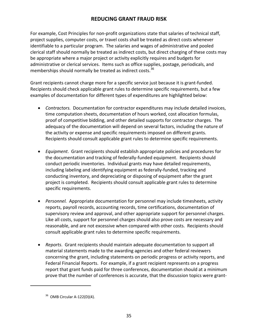For example, Cost Principles for non-profit organizations state that salaries of technical staff, project supplies, computer costs, or travel costs shall be treated as direct costs whenever identifiable to a particular program. The salaries and wages of administrative and pooled clerical staff should normally be treated as indirect costs, but direct charging of these costs may be appropriate where a major project or activity explicitly requires and budgets for administrative or clerical services. Items such as office supplies, postage, periodicals, and memberships should normally be treated as indirect costs.<sup>[36](#page-36-0)</sup>

Grant recipients cannot charge more for a specific service just because it is grant-funded. Recipients should check applicable grant rules to determine specific requirements, but a few examples of documentation for different types of expenditures are highlighted below:

- *Contractors.*Documentation for contractor expenditures may include detailed invoices, time computation sheets, documentation of hours worked, cost allocation formulas, proof of competitive bidding, and other detailed supports for contractor charges. The adequacy of the documentation will depend on several factors, including the nature of the activity or expense and specific requirements imposed on different grants. Recipients should consult applicable grant rules to determine specific requirements.
- *Equipment*. Grant recipients should establish appropriate policies and procedures for the documentation and tracking of federally-funded equipment. Recipients should conduct periodic inventories. Individual grants may have detailed requirements, including labeling and identifying equipment as federally-funded, tracking and conducting inventory, and depreciating or disposing of equipment after the grant project is completed. Recipients should consult applicable grant rules to determine specific requirements.
- *Personnel.* Appropriate documentation for personnel may include timesheets, activity reports, payroll records, accounting records, time certifications, documentation of supervisory review and approval, and other appropriate support for personnel charges. Like all costs, support for personnel charges should also prove costs are necessary and reasonable, and are not excessive when compared with other costs. Recipients should consult applicable grant rules to determine specific requirements.
- *Reports*. Grant recipients should maintain adequate documentation to support all material statements made to the awarding agencies and other federal reviewers concerning the grant, including statements on periodic progress or activity reports, and Federal Financial Reports. For example, if a grant recipient represents on a progress report that grant funds paid for three conferences, documentation should at a minimum prove that the number of conferences is accurate, that the discussion topics were grant-

<span id="page-36-0"></span>l

 $36$  OMB Circular A-122(D)(4).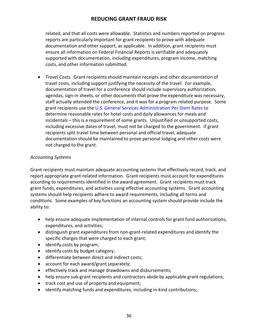related, and that all costs were allowable. Statistics and numbers reported on progress reports are particularly important for grant recipients to prove with adequate documentation and other support, as applicable. In addition, grant recipients must ensure all information on Federal Financial Reports is verifiable and adequately supported with documentation, including expenditures, program income, matching costs, and other information submitted.

• *Travel Costs*. Grant recipients should maintain receipts and other documentation of travel costs, including support justifying the necessity of the travel. For example, documentation of travel for a conference should include supervisory authorization, agendas, sign-in sheets, or other documents that prove the expenditure was necessary, staff actually attended the conference, and it was for a program-related purpose. Some grant recipients use the [U.S. General Services Administration Per Diem Rates](http://www.gsa.gov/portal/category/21287) to determine reasonable rates for hotel costs and daily allowances for meals and incidentals – this is a requirement of some grants. Unjustified or unsupported costs, including excessive dates of travel, must not be charged to the government. If grant recipients split travel time between personal and official travel, adequate documentation should be maintained to prove personal lodging and other costs were not charged to the grant.

#### <span id="page-37-0"></span>*Accounting Systems*

Grant recipients must maintain adequate accounting systems that effectively record, track, and report appropriate grant-related information. Grant recipients must account for expenditures according to requirements identified in the award agreement. Grant recipients must track grant funds, expenditures, and activities using effective accounting systems. Grant accounting systems should help recipients adhere to award requirements, including all terms and conditions. Some examples of key functions an accounting system should provide include the ability to:

- help ensure adequate implementation of internal controls for grant fund authorizations, expenditures, and activities;
- distinguish grant expenditures from non-grant-related expenditures and identify the specific charges that were charged to each grant;
- identify costs by program;
- identify costs by budget category;
- differentiate between direct and indirect costs;
- account for each award/grant separately;
- effectively track and manage drawdowns and disbursements;
- help ensure sub-grant recipients and contractors abide by applicable grant regulations;
- track cost and use of property and equipment;
- identify matching funds and expenditures, including in-kind contributions;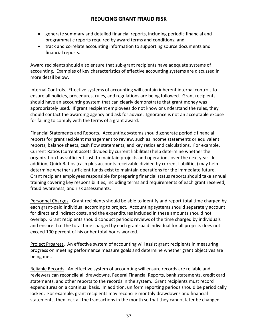- generate summary and detailed financial reports, including periodic financial and programmatic reports required by award terms and conditions; and
- track and correlate accounting information to supporting source documents and financial reports.

Award recipients should also ensure that sub-grant recipients have adequate systems of accounting. Examples of key characteristics of effective accounting systems are discussed in more detail below.

Internal Controls. Effective systems of accounting will contain inherent internal controls to ensure all policies, procedures, rules, and regulations are being followed. Grant recipients should have an accounting system that can clearly demonstrate that grant money was appropriately used. If grant recipient employees do not know or understand the rules, they should contact the awarding agency and ask for advice. Ignorance is not an acceptable excuse for failing to comply with the terms of a grant award.

Financial Statements and Reports. Accounting systems should generate periodic financial reports for grant recipient management to review, such as income statements or equivalent reports, balance sheets, cash flow statements, and key ratios and calculations. For example, Current Ratios (current assets divided by current liabilities) help determine whether the organization has sufficient cash to maintain projects and operations over the next year. In addition, Quick Ratios (cash plus accounts receivable divided by current liabilities) may help determine whether sufficient funds exist to maintain operations for the immediate future. Grant recipient employees responsible for preparing financial status reports should take annual training covering key responsibilities, including terms and requirements of each grant received, fraud awareness, and risk assessments.

Personnel Charges. Grant recipients should be able to identify and report total time charged by each grant-paid individual according to project. Accounting systems should separately account for direct and indirect costs, and the expenditures included in these amounts should not overlap. Grant recipients should conduct periodic reviews of the time charged by individuals and ensure that the total time charged by each grant-paid individual for all projects does not exceed 100 percent of his or her total hours worked.

Project Progress. An effective system of accounting will assist grant recipients in measuring progress on meeting performance measure goals and determine whether grant objectives are being met.

Reliable Records. An effective system of accounting will ensure records are reliable and reviewers can reconcile all drawdowns, Federal Financial Reports, bank statements, credit card statements, and other reports to the records in the system. Grant recipients must record expenditures on a continual basis. In addition, uniform reporting periods should be periodically locked. For example, grant recipients may reconcile monthly drawdowns and financial statements, then lock all the transactions in the month so that they cannot later be changed.